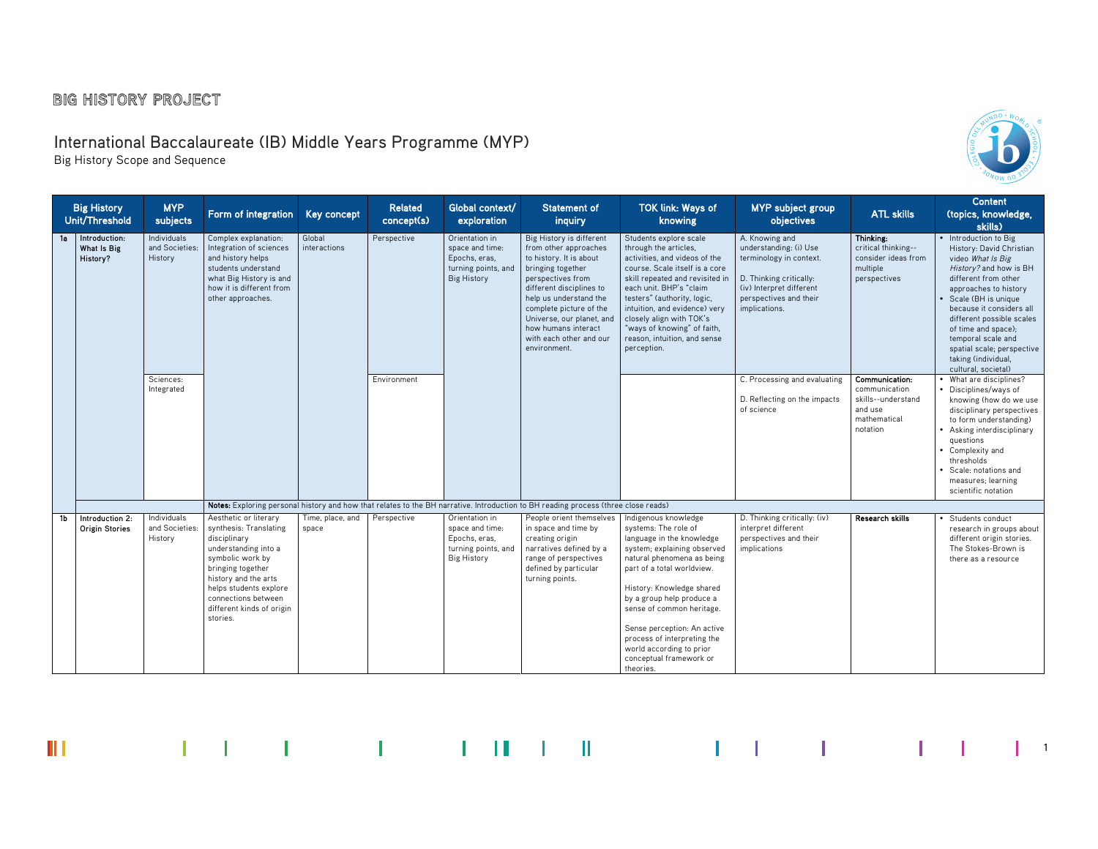# International Baccalaureate (IB) Middle Years Programme (MYP)

Big History Scope and Sequence



 $\begin{vmatrix} 1 & 1 \end{vmatrix}$ 

| <b>Big History</b><br>Unit/Threshold             | <b>MYP</b><br>subjects                   | Form of integration                                                                                                                                                                                                                                | <b>Key concept</b>        | <b>Related</b><br>concept(s) | Global context/<br>exploration                                                                  | <b>Statement of</b><br>inquiry                                                                                                                                                                                                                                                                            | <b>TOK link: Ways of</b><br>knowing                                                                                                                                                                                                                                                                                                                                                           | <b>MYP</b> subject group<br><b>objectives</b>                                                                                                                         | <b>ATL skills</b>                                                                            | <b>Content</b><br>(topics, knowledge,<br>skills)                                                                                                                                                                                                                                                                                                             |
|--------------------------------------------------|------------------------------------------|----------------------------------------------------------------------------------------------------------------------------------------------------------------------------------------------------------------------------------------------------|---------------------------|------------------------------|-------------------------------------------------------------------------------------------------|-----------------------------------------------------------------------------------------------------------------------------------------------------------------------------------------------------------------------------------------------------------------------------------------------------------|-----------------------------------------------------------------------------------------------------------------------------------------------------------------------------------------------------------------------------------------------------------------------------------------------------------------------------------------------------------------------------------------------|-----------------------------------------------------------------------------------------------------------------------------------------------------------------------|----------------------------------------------------------------------------------------------|--------------------------------------------------------------------------------------------------------------------------------------------------------------------------------------------------------------------------------------------------------------------------------------------------------------------------------------------------------------|
| Introduction:<br>1a l<br>What Is Big<br>History? | Individuals<br>and Societies:<br>History | Complex explanation:<br>Integration of sciences<br>and history helps<br>students understand<br>what Big History is and<br>how it is different from<br>other approaches.                                                                            | Global<br>interactions    | Perspective                  | Orientation in<br>space and time:<br>Epochs, eras.<br>turning points, and<br><b>Big History</b> | Big History is different<br>from other approaches<br>to history. It is about<br>bringing together<br>perspectives from<br>different disciplines to<br>help us understand the<br>complete picture of the<br>Universe, our planet, and<br>how humans interact<br>with each other and our<br>environment.    | Students explore scale<br>through the articles.<br>activities, and videos of the<br>course. Scale itself is a core<br>skill repeated and revisited in<br>each unit. BHP's "claim<br>testers" (authority, logic,<br>intuition, and evidence) very<br>closely align with TOK's<br>"ways of knowing" of faith,<br>reason, intuition, and sense<br>perception.                                    | A. Knowing and<br>understanding: (i) Use<br>terminology in context.<br>D. Thinking critically:<br>(iv) Interpret different<br>perspectives and their<br>implications. | Thinking:<br>critical thinking--<br>consider ideas from<br>multiple<br>perspectives          | • Introduction to Big<br>History: David Christian<br>video What Is Big<br>History? and how is BH<br>different from other<br>approaches to history<br>• Scale (BH is unique<br>because it considers all<br>different possible scales<br>of time and space);<br>temporal scale and<br>spatial scale; perspective<br>taking (individual,<br>cultural, societal) |
|                                                  | Sciences:<br>Integrated                  |                                                                                                                                                                                                                                                    |                           | Environment                  |                                                                                                 |                                                                                                                                                                                                                                                                                                           |                                                                                                                                                                                                                                                                                                                                                                                               | C. Processing and evaluating<br>D. Reflecting on the impacts<br>of science                                                                                            | Communication:<br>communication<br>skills--understand<br>and use<br>mathematical<br>notation | • What are disciplines?<br>• Disciplines/ways of<br>knowing (how do we use<br>disciplinary perspectives<br>to form understanding)<br>• Asking interdisciplinary<br>questions<br>• Complexity and<br>thresholds<br>• Scale: notations and<br>measures; learning<br>scientific notation                                                                        |
| Introduction 2:<br>1b<br><b>Origin Stories</b>   | Individuals<br>and Societies:<br>History | Aesthetic or literary<br>synthesis: Translating<br>disciplinary<br>understanding into a<br>symbolic work by<br>bringing together<br>history and the arts<br>helps students explore<br>connections between<br>different kinds of origin<br>stories. | Time, place, and<br>space | Perspective                  | Orientation in<br>space and time:<br>Epochs, eras.<br>turning points, and<br><b>Big History</b> | Notes: Exploring personal history and how that relates to the BH narrative. Introduction to BH reading process (three close reads)<br>People orient themselves<br>in space and time by<br>creating origin<br>narratives defined by a<br>range of perspectives<br>defined by particular<br>turning points. | Indigenous knowledge<br>systems: The role of<br>language in the knowledge<br>system; explaining observed<br>natural phenomena as being<br>part of a total worldview.<br>History: Knowledge shared<br>by a group help produce a<br>sense of common heritage.<br>Sense perception: An active<br>process of interpreting the<br>world according to prior<br>conceptual framework or<br>theories. | D. Thinking critically: (iv)<br>interpret different<br>perspectives and their<br>implications                                                                         | Research skills                                                                              | • Students conduct<br>research in groups about<br>different origin stories.<br>The Stokes-Brown is<br>there as a resource                                                                                                                                                                                                                                    |

III and the first product of the control in the first product of the first product of the first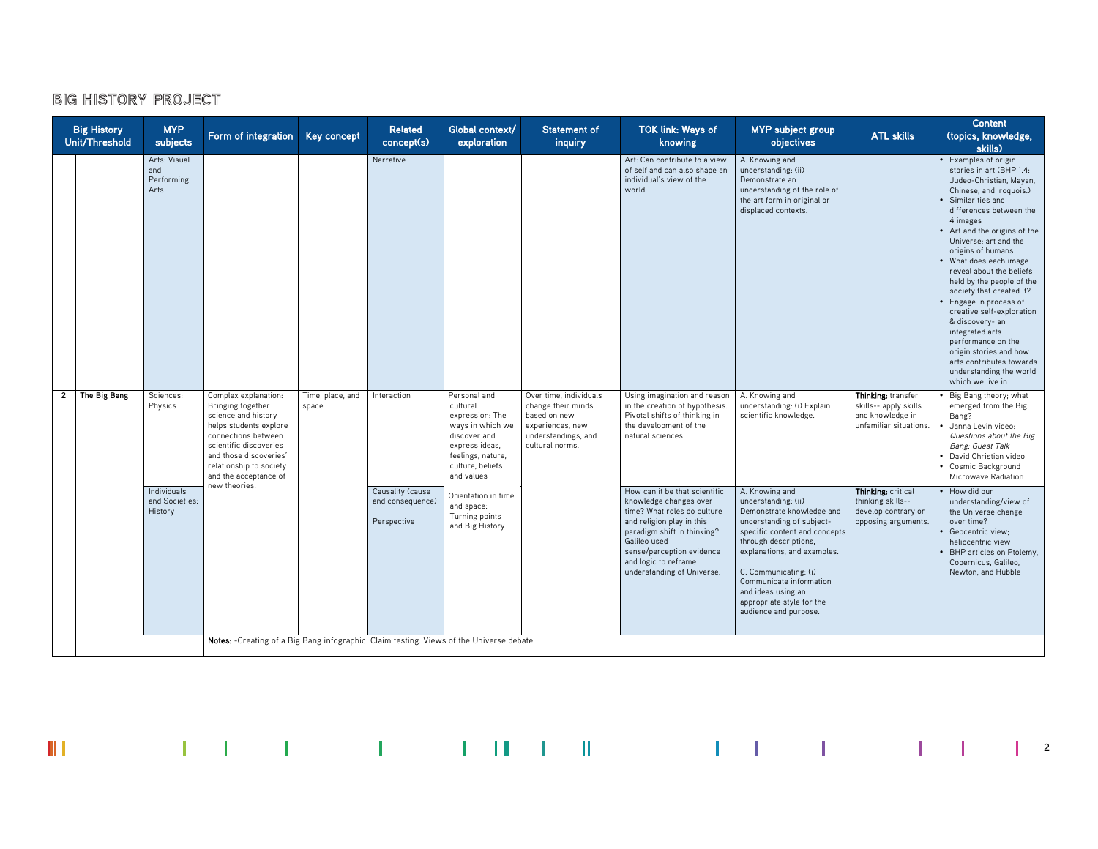|              | <b>Big History</b><br>Unit/Threshold | <b>MYP</b><br>subjects                    | Form of integration                                                                                                                                                                                                       | <b>Key concept</b>        | <b>Related</b><br>concept(s)                        | Global context/<br>exploration                                                                                                                           | <b>Statement of</b><br>inquiry                                                                                             | <b>TOK link: Ways of</b><br>knowing                                                                                                                                                                                                                   | <b>MYP</b> subject group<br>objectives                                                                                                                                                                                                                                                                                   | <b>ATL skills</b>                                                                         | <b>Content</b><br>(topics, knowledge,<br>skills)                                                                                                                                                                                                                                                                                                                                                                                                                                                                                                                                 |
|--------------|--------------------------------------|-------------------------------------------|---------------------------------------------------------------------------------------------------------------------------------------------------------------------------------------------------------------------------|---------------------------|-----------------------------------------------------|----------------------------------------------------------------------------------------------------------------------------------------------------------|----------------------------------------------------------------------------------------------------------------------------|-------------------------------------------------------------------------------------------------------------------------------------------------------------------------------------------------------------------------------------------------------|--------------------------------------------------------------------------------------------------------------------------------------------------------------------------------------------------------------------------------------------------------------------------------------------------------------------------|-------------------------------------------------------------------------------------------|----------------------------------------------------------------------------------------------------------------------------------------------------------------------------------------------------------------------------------------------------------------------------------------------------------------------------------------------------------------------------------------------------------------------------------------------------------------------------------------------------------------------------------------------------------------------------------|
|              |                                      | Arts: Visual<br>and<br>Performing<br>Arts |                                                                                                                                                                                                                           |                           | Narrative                                           |                                                                                                                                                          |                                                                                                                            | Art: Can contribute to a view<br>of self and can also shape an<br>individual's view of the<br>world.                                                                                                                                                  | A. Knowing and<br>understanding: (ii)<br>Demonstrate an<br>understanding of the role of<br>the art form in original or<br>displaced contexts.                                                                                                                                                                            |                                                                                           | Examples of origin<br>stories in art (BHP 1.4:<br>Judeo-Christian, Mayan,<br>Chinese, and Iroquois.)<br>Similarities and<br>differences between the<br>4 images<br>• Art and the origins of the<br>Universe; art and the<br>origins of humans<br>What does each image<br>reveal about the beliefs<br>held by the people of the<br>society that created it?<br>Engage in process of<br>creative self-exploration<br>& discovery- an<br>integrated arts<br>performance on the<br>origin stories and how<br>arts contributes towards<br>understanding the world<br>which we live in |
| $\mathbf{2}$ | The Big Bang                         | Sciences:<br>Physics                      | Complex explanation:<br>Bringing together<br>science and history<br>helps students explore<br>connections between<br>scientific discoveries<br>and those discoveries'<br>relationship to society<br>and the acceptance of | Time, place, and<br>space | Interaction                                         | Personal and<br>cultural<br>expression: The<br>ways in which we<br>discover and<br>express ideas,<br>feelings, nature,<br>culture, beliefs<br>and values | Over time, individuals<br>change their minds<br>based on new<br>experiences, new<br>understandings, and<br>cultural norms. | Using imagination and reason<br>in the creation of hypothesis.<br>Pivotal shifts of thinking in<br>the development of the<br>natural sciences.                                                                                                        | A. Knowing and<br>understanding: (i) Explain<br>scientific knowledge.                                                                                                                                                                                                                                                    | Thinking: transfer<br>skills-- apply skills<br>and knowledge in<br>unfamiliar situations. | Big Bang theory; what<br>emerged from the Big<br>Bang?<br>Janna Levin video:<br>Questions about the Big<br>Bang: Guest Talk<br>David Christian video<br>• Cosmic Background<br>Microwave Radiation                                                                                                                                                                                                                                                                                                                                                                               |
|              |                                      | Individuals<br>and Societies:<br>History  | new theories.                                                                                                                                                                                                             |                           | Causality (cause<br>and consequence)<br>Perspective | Orientation in time<br>and space:<br>Turning points<br>and Big History                                                                                   |                                                                                                                            | How can it be that scientific<br>knowledge changes over<br>time? What roles do culture<br>and religion play in this<br>paradigm shift in thinking?<br>Galileo used<br>sense/perception evidence<br>and logic to reframe<br>understanding of Universe. | A. Knowing and<br>understanding: (ii)<br>Demonstrate knowledge and<br>understanding of subject-<br>specific content and concepts<br>through descriptions,<br>explanations, and examples.<br>C. Communicating: (i)<br>Communicate information<br>and ideas using an<br>appropriate style for the<br>audience and purpose. | Thinking: critical<br>thinking skills--<br>develop contrary or<br>opposing arguments.     | How did our<br>understanding/view of<br>the Universe change<br>over time?<br>Geocentric view:<br>heliocentric view<br>BHP articles on Ptolemy,<br>Copernicus, Galileo,<br>Newton, and Hubble                                                                                                                                                                                                                                                                                                                                                                                     |
|              |                                      |                                           | Notes: -Creating of a Big Bang infographic. Claim testing. Views of the Universe debate.                                                                                                                                  |                           |                                                     |                                                                                                                                                          |                                                                                                                            |                                                                                                                                                                                                                                                       |                                                                                                                                                                                                                                                                                                                          |                                                                                           |                                                                                                                                                                                                                                                                                                                                                                                                                                                                                                                                                                                  |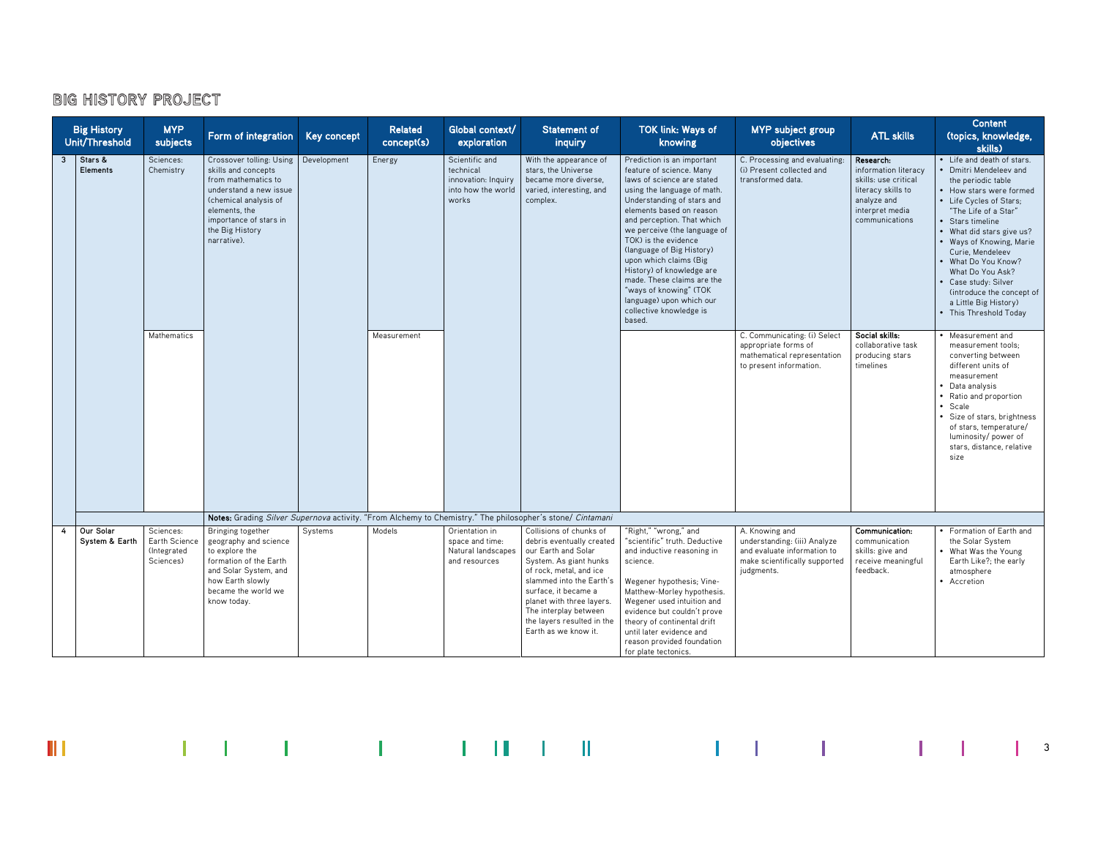| <b>Big History</b><br>Unit/Threshold | <b>MYP</b><br>subjects                                 | Form of integration                                                                                                                                                                                    | <b>Key concept</b> | <b>Related</b><br>concept(s) | Global context/<br>exploration                                                    | <b>Statement of</b><br>inquiry                                                                                                                                                                                                                                                                   | <b>TOK link: Ways of</b><br>knowing                                                                                                                                                                                                                                                                                                                                                                                                                                              | <b>MYP</b> subject group<br>objectives                                                                                       | <b>ATL skills</b>                                                                                                                   | <b>Content</b><br>(topics, knowledge,<br>skills)                                                                                                                                                                                                                                                                                                                                             |
|--------------------------------------|--------------------------------------------------------|--------------------------------------------------------------------------------------------------------------------------------------------------------------------------------------------------------|--------------------|------------------------------|-----------------------------------------------------------------------------------|--------------------------------------------------------------------------------------------------------------------------------------------------------------------------------------------------------------------------------------------------------------------------------------------------|----------------------------------------------------------------------------------------------------------------------------------------------------------------------------------------------------------------------------------------------------------------------------------------------------------------------------------------------------------------------------------------------------------------------------------------------------------------------------------|------------------------------------------------------------------------------------------------------------------------------|-------------------------------------------------------------------------------------------------------------------------------------|----------------------------------------------------------------------------------------------------------------------------------------------------------------------------------------------------------------------------------------------------------------------------------------------------------------------------------------------------------------------------------------------|
| Stars &<br>3<br><b>Elements</b>      | Sciences:<br>Chemistry                                 | Crossover tolling: Using<br>skills and concepts<br>from mathematics to<br>understand a new issue<br>(chemical analysis of<br>elements, the<br>importance of stars in<br>the Big History<br>narrative). | Development        | Energy                       | Scientific and<br>technical<br>innovation: Inquiry<br>into how the world<br>works | With the appearance of<br>stars, the Universe<br>became more diverse.<br>varied, interesting, and<br>complex.                                                                                                                                                                                    | Prediction is an important<br>feature of science. Many<br>laws of science are stated<br>using the language of math.<br>Understanding of stars and<br>elements based on reason<br>and perception. That which<br>we perceive (the language of<br>TOK) is the evidence<br>(language of Big History)<br>upon which claims (Big<br>History) of knowledge are<br>made. These claims are the<br>"ways of knowing" (TOK<br>language) upon which our<br>collective knowledge is<br>based. | C. Processing and evaluating:<br>(i) Present collected and<br>transformed data.                                              | Research:<br>information literacy<br>skills: use critical<br>literacy skills to<br>analyze and<br>interpret media<br>communications | Life and death of stars.<br>Dmitri Mendeleev and<br>the periodic table<br>How stars were formed<br>• Life Cycles of Stars;<br>"The Life of a Star"<br>Stars timeline<br>What did stars give us?<br>• Ways of Knowing, Marie<br>Curie, Mendeleev<br>What Do You Know?<br>What Do You Ask?<br>Case study: Silver<br>(introduce the concept of<br>a Little Big History)<br>This Threshold Today |
|                                      | Mathematics                                            |                                                                                                                                                                                                        |                    | Measurement                  |                                                                                   |                                                                                                                                                                                                                                                                                                  |                                                                                                                                                                                                                                                                                                                                                                                                                                                                                  | C. Communicating: (i) Select<br>appropriate forms of<br>mathematical representation<br>to present information.               | Social skills:<br>collaborative task<br>producing stars<br>timelines                                                                | Measurement and<br>measurement tools;<br>converting between<br>different units of<br>measurement<br>Data analysis<br>• Ratio and proportion<br>Scale<br>• Size of stars, brightness<br>of stars, temperature/<br>luminosity/ power of<br>stars, distance, relative<br>size                                                                                                                   |
|                                      |                                                        |                                                                                                                                                                                                        |                    |                              |                                                                                   | Notes: Grading Silver Supernova activity. "From Alchemy to Chemistry." The philosopher's stone/ Cintamani                                                                                                                                                                                        |                                                                                                                                                                                                                                                                                                                                                                                                                                                                                  |                                                                                                                              |                                                                                                                                     |                                                                                                                                                                                                                                                                                                                                                                                              |
| Our Solar<br>4<br>System & Earth     | Sciences:<br>Earth Science<br>(Integrated<br>Sciences) | Bringing together<br>geography and science<br>to explore the<br>formation of the Earth<br>and Solar System, and<br>how Earth slowly<br>became the world we<br>know today.                              | Systems            | Models                       | Orientation in<br>space and time:<br>Natural landscapes<br>and resources          | Collisions of chunks of<br>debris eventually created<br>our Earth and Solar<br>System. As giant hunks<br>of rock, metal, and ice<br>slammed into the Earth's<br>surface, it became a<br>planet with three layers.<br>The interplay between<br>the layers resulted in the<br>Earth as we know it. | "Right," "wrong," and<br>"scientific" truth. Deductive<br>and inductive reasoning in<br>science.<br>Wegener hypothesis; Vine-<br>Matthew-Morley hypothesis.<br>Wegener used intuition and<br>evidence but couldn't prove<br>theory of continental drift<br>until later evidence and<br>reason provided foundation<br>for plate tectonics.                                                                                                                                        | A. Knowing and<br>understanding: (iii) Analyze<br>and evaluate information to<br>make scientifically supported<br>judgments. | Communication:<br>communication<br>skills: give and<br>receive meaningful<br>feedback.                                              | Formation of Earth and<br>the Solar System<br>• What Was the Young<br>Earth Like?; the early<br>atmosphere<br>• Accretion                                                                                                                                                                                                                                                                    |

 $\mathbf{III}$  and the set of the set of the set of the Higgs set of the set of the set of the Higgs set of the set of the set of the set of the set of the set of the set of the set of the set of the set of the set of the set o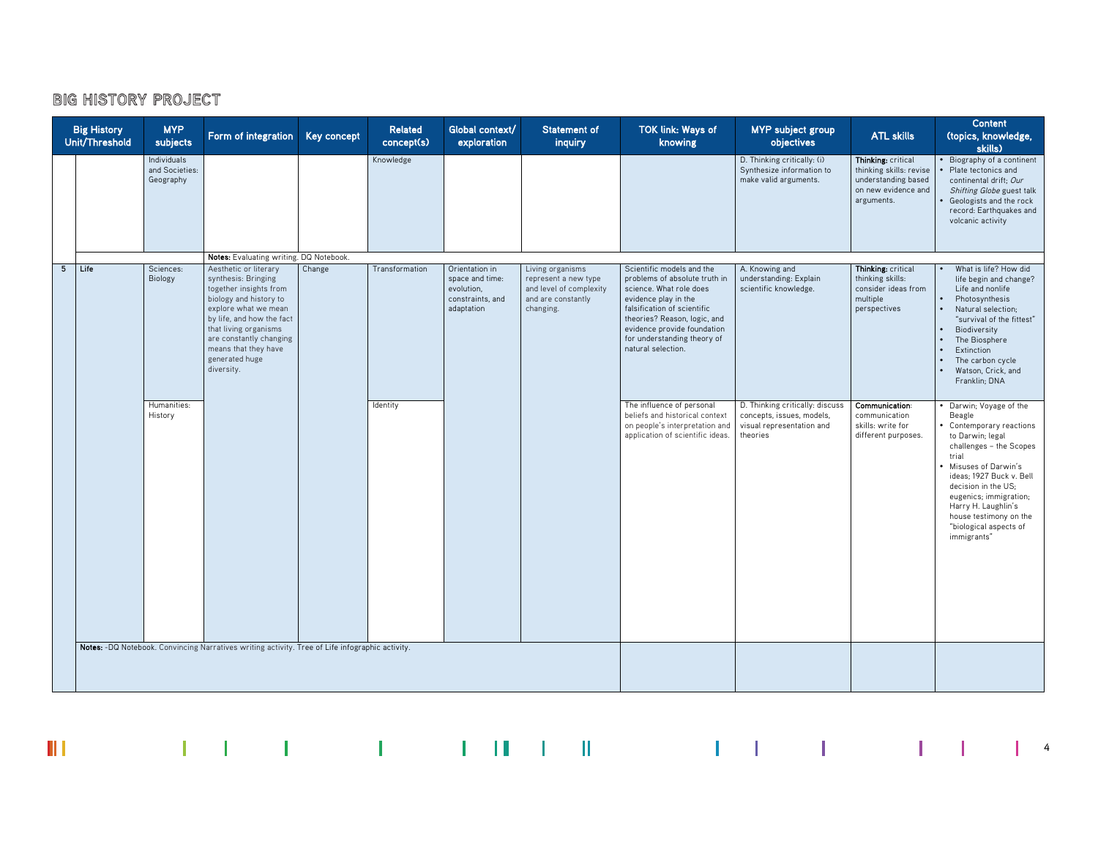$\mathbb H$ 

|                | <b>Big History</b><br>Unit/Threshold | <b>MYP</b><br>subjects                     | Form of integration Key concept                                                                                                                                                                                                                                   |        | <b>Related</b><br>concept(s) | Global context/<br>exploration                                                    | <b>Statement of</b><br>inquiry                                                                         | TOK link: Ways of<br>knowing                                                                                                                                                                                                                                     | <b>MYP</b> subject group<br>objectives                                                                | <b>ATL skills</b>                                                                                         | <b>Content</b><br>(topics, knowledge,<br>skills)                                                                                                                                                                                                                                                                |
|----------------|--------------------------------------|--------------------------------------------|-------------------------------------------------------------------------------------------------------------------------------------------------------------------------------------------------------------------------------------------------------------------|--------|------------------------------|-----------------------------------------------------------------------------------|--------------------------------------------------------------------------------------------------------|------------------------------------------------------------------------------------------------------------------------------------------------------------------------------------------------------------------------------------------------------------------|-------------------------------------------------------------------------------------------------------|-----------------------------------------------------------------------------------------------------------|-----------------------------------------------------------------------------------------------------------------------------------------------------------------------------------------------------------------------------------------------------------------------------------------------------------------|
|                |                                      | Individuals<br>and Societies:<br>Geography |                                                                                                                                                                                                                                                                   |        | Knowledge                    |                                                                                   |                                                                                                        |                                                                                                                                                                                                                                                                  | D. Thinking critically: (i)<br>Synthesize information to<br>make valid arguments.                     | Thinking: critical<br>thinking skills: revise<br>understanding based<br>on new evidence and<br>arguments. | Biography of a continent<br>Plate tectonics and<br>continental drift; Our<br>Shifting Globe guest talk<br>Geologists and the rock<br>record: Earthquakes and<br>volcanic activity                                                                                                                               |
|                |                                      |                                            | Notes: Evaluating writing. DQ Notebook.                                                                                                                                                                                                                           |        |                              |                                                                                   |                                                                                                        |                                                                                                                                                                                                                                                                  |                                                                                                       |                                                                                                           |                                                                                                                                                                                                                                                                                                                 |
| 5 <sub>5</sub> | Life                                 | Sciences:<br>Biology                       | Aesthetic or literary<br>synthesis: Bringing<br>together insights from<br>biology and history to<br>explore what we mean<br>by life, and how the fact<br>that living organisms<br>are constantly changing<br>means that they have<br>generated huge<br>diversity. | Change | Transformation               | Orientation in<br>space and time:<br>evolution,<br>constraints, and<br>adaptation | Living organisms<br>represent a new type<br>and level of complexity<br>and are constantly<br>changing. | Scientific models and the<br>problems of absolute truth in<br>science. What role does<br>evidence play in the<br>falsification of scientific<br>theories? Reason, logic, and<br>evidence provide foundation<br>for understanding theory of<br>natural selection. | A. Knowing and<br>understanding: Explain<br>scientific knowledge.                                     | Thinking: critical<br>thinking skills:<br>consider ideas from<br>multiple<br>perspectives                 | What is life? How did<br>life begin and change?<br>Life and nonlife<br>Photosynthesis<br>Natural selection:<br>"survival of the fittest"<br>Biodiversity<br>The Biosphere<br>Extinction<br>The carbon cycle<br>Watson, Crick, and<br>Franklin; DNA                                                              |
|                |                                      | Humanities:<br>History                     |                                                                                                                                                                                                                                                                   |        | Identity                     |                                                                                   |                                                                                                        | The influence of personal<br>beliefs and historical context<br>on people's interpretation and<br>application of scientific ideas.                                                                                                                                | D. Thinking critically: discuss<br>concepts, issues, models,<br>visual representation and<br>theories | Communication:<br>communication<br>skills: write for<br>different purposes.                               | Darwin; Voyage of the<br>Beagle<br>Contemporary reactions<br>to Darwin; legal<br>challenges - the Scopes<br>trial<br>Misuses of Darwin's<br>ideas; 1927 Buck v. Bell<br>decision in the US;<br>eugenics; immigration;<br>Harry H. Laughlin's<br>house testimony on the<br>"biological aspects of<br>immigrants" |
|                |                                      |                                            | Notes: -DQ Notebook. Convincing Narratives writing activity. Tree of Life infographic activity.                                                                                                                                                                   |        |                              |                                                                                   |                                                                                                        |                                                                                                                                                                                                                                                                  |                                                                                                       |                                                                                                           |                                                                                                                                                                                                                                                                                                                 |

 $\mathcal{L} = \{ \mathcal{L} \mid \mathcal{L} \in \mathcal{L} \} \quad \text{and} \quad \mathcal{L} = \{ \mathcal{L} \mid \mathcal{L} \in \mathcal{L} \} \quad \text{and} \quad \mathcal{L} = \{ \mathcal{L} \mid \mathcal{L} \in \mathcal{L} \} \quad \text{and} \quad \mathcal{L} = \{ \mathcal{L} \mid \mathcal{L} \in \mathcal{L} \} \quad \text{and} \quad \mathcal{L} = \{ \mathcal{L} \mid \mathcal{L} \in \mathcal{L} \} \quad \text{and} \quad \mathcal{L} = \{ \$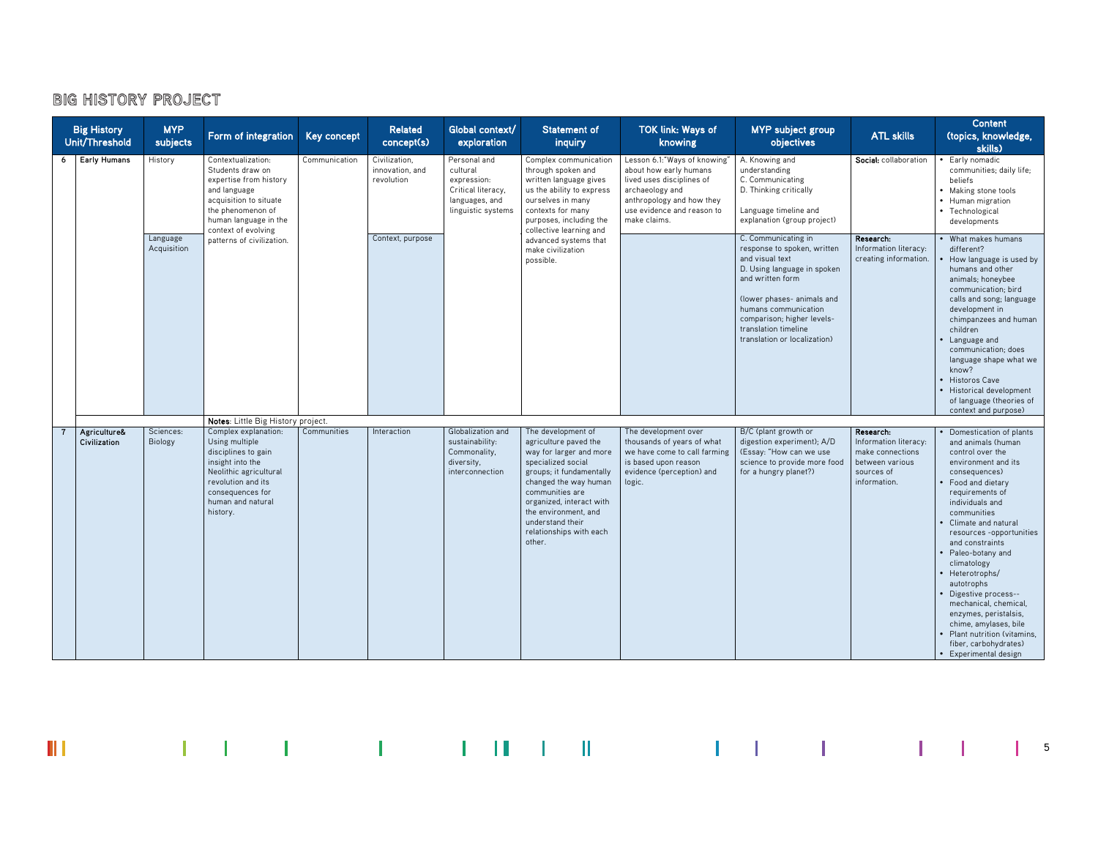|                | <b>Big History</b><br>Unit/Threshold | <b>MYP</b><br>subjects  | Form of integration                                                                                                                                                                                                          | Key concept   | <b>Related</b><br>concept(s)                   | Global context/<br>exploration                                                                        | <b>Statement of</b><br>inquiry                                                                                                                                                                                                                                                    | <b>TOK link: Ways of</b><br>knowing                                                                                                                                                | <b>MYP</b> subject group<br>objectives                                                                                                                                                                                                                               | <b>ATL skills</b>                                                                                       | <b>Content</b><br>(topics, knowledge,<br>skills)                                                                                                                                                                                                                                                                                                                                                                                                                                                           |
|----------------|--------------------------------------|-------------------------|------------------------------------------------------------------------------------------------------------------------------------------------------------------------------------------------------------------------------|---------------|------------------------------------------------|-------------------------------------------------------------------------------------------------------|-----------------------------------------------------------------------------------------------------------------------------------------------------------------------------------------------------------------------------------------------------------------------------------|------------------------------------------------------------------------------------------------------------------------------------------------------------------------------------|----------------------------------------------------------------------------------------------------------------------------------------------------------------------------------------------------------------------------------------------------------------------|---------------------------------------------------------------------------------------------------------|------------------------------------------------------------------------------------------------------------------------------------------------------------------------------------------------------------------------------------------------------------------------------------------------------------------------------------------------------------------------------------------------------------------------------------------------------------------------------------------------------------|
| 6              | <b>Early Humans</b>                  | History                 | Contextualization:<br>Students draw on<br>expertise from history<br>and language<br>acquisition to situate<br>the phenomenon of<br>human language in the<br>context of evolving                                              | Communication | Civilization,<br>innovation, and<br>revolution | Personal and<br>cultural<br>expression:<br>Critical literacy,<br>languages, and<br>linguistic systems | Complex communication<br>through spoken and<br>written language gives<br>us the ability to express<br>ourselves in many<br>contexts for many<br>purposes, including the<br>collective learning and                                                                                | Lesson 6.1: "Ways of knowing"<br>about how early humans<br>lived uses disciplines of<br>archaeology and<br>anthropology and how they<br>use evidence and reason to<br>make claims. | A. Knowing and<br>understanding<br>C. Communicating<br>D. Thinking critically<br>Language timeline and<br>explanation (group project)                                                                                                                                | Social: collaboration                                                                                   | Early nomadic<br>communities; daily life;<br>beliefs<br>• Making stone tools<br>• Human migration<br>• Technological<br>developments                                                                                                                                                                                                                                                                                                                                                                       |
|                |                                      | Language<br>Acquisition | patterns of civilization.                                                                                                                                                                                                    |               | Context, purpose                               |                                                                                                       | advanced systems that<br>make civilization<br>possible.                                                                                                                                                                                                                           |                                                                                                                                                                                    | C. Communicating in<br>response to spoken, written<br>and visual text<br>D. Using language in spoken<br>and written form<br>(lower phases- animals and<br>humans communication<br>comparison; higher levels-<br>translation timeline<br>translation or localization) | Research:<br>Information literacy:<br>creating information.                                             | What makes humans<br>different?<br>How language is used by<br>humans and other<br>animals; honeybee<br>communication; bird<br>calls and song; language<br>development in<br>chimpanzees and human<br>children<br>Language and<br>communication; does<br>language shape what we<br>know?<br><b>Historos Cave</b><br>Historical development<br>of language (theories of<br>context and purpose)                                                                                                              |
| $\overline{7}$ | Agriculture&<br>Civilization         | Sciences:<br>Biology    | Notes: Little Big History project.<br>Complex explanation:<br>Using multiple<br>disciplines to gain<br>insight into the<br>Neolithic agricultural<br>revolution and its<br>consequences for<br>human and natural<br>history. | Communities   | Interaction                                    | Globalization and<br>sustainability:<br>Commonality,<br>diversity,<br>interconnection                 | The development of<br>agriculture paved the<br>way for larger and more<br>specialized social<br>groups; it fundamentally<br>changed the way human<br>communities are<br>organized, interact with<br>the environment, and<br>understand their<br>relationships with each<br>other. | The development over<br>thousands of years of what<br>we have come to call farming<br>is based upon reason<br>evidence (perception) and<br>logic.                                  | B/C (plant growth or<br>digestion experiment); A/D<br>(Essay: "How can we use<br>science to provide more food<br>for a hungry planet?)                                                                                                                               | Research:<br>Information literacy:<br>make connections<br>between various<br>sources of<br>information. | Domestication of plants<br>and animals (human<br>control over the<br>environment and its<br>consequences)<br>Food and dietary<br>requirements of<br>individuals and<br>communities<br>Climate and natural<br>resources -opportunities<br>and constraints<br>Paleo-botany and<br>climatology<br>Heterotrophs/<br>autotrophs<br>Digestive process--<br>mechanical, chemical,<br>enzymes, peristalsis,<br>chime, amylases, bile<br>Plant nutrition (vitamins,<br>fiber, carbohydrates)<br>Experimental design |

 $\mathbb{H}$  and the state of the state  $\mathbb{H}$  and  $\mathbb{H}$  and  $\mathbb{H}$  are stated in the state of the state  $\mathbb{H}$  is the state of the state of the state of the state of the state of the state of the state of the state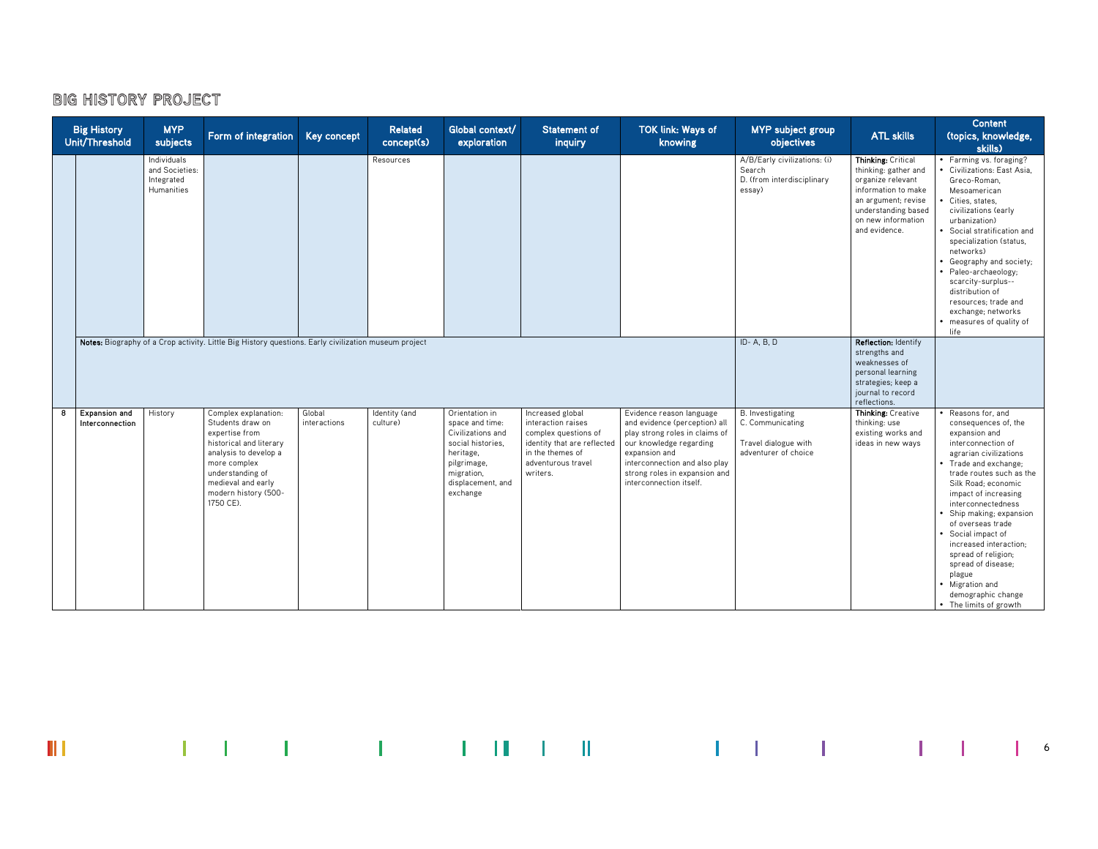|   | <b>Big History</b><br>Unit/Threshold | <b>MYP</b><br>subjects                                    | Form of integration                                                                                                                                                                                           | <b>Key concept</b>     | <b>Related</b><br>concept(s) | Global context/<br>exploration                                                                                                                         | <b>Statement of</b><br>inquiry                                                                                                                      | <b>TOK link: Ways of</b><br>knowing                                                                                                                                                                                                  | MYP subject group<br>objectives                                                             | <b>ATL skills</b>                                                                                                                                                           | <b>Content</b><br>(topics, knowledge,<br>skills)                                                                                                                                                                                                                                                                                                                                                                                                               |
|---|--------------------------------------|-----------------------------------------------------------|---------------------------------------------------------------------------------------------------------------------------------------------------------------------------------------------------------------|------------------------|------------------------------|--------------------------------------------------------------------------------------------------------------------------------------------------------|-----------------------------------------------------------------------------------------------------------------------------------------------------|--------------------------------------------------------------------------------------------------------------------------------------------------------------------------------------------------------------------------------------|---------------------------------------------------------------------------------------------|-----------------------------------------------------------------------------------------------------------------------------------------------------------------------------|----------------------------------------------------------------------------------------------------------------------------------------------------------------------------------------------------------------------------------------------------------------------------------------------------------------------------------------------------------------------------------------------------------------------------------------------------------------|
|   |                                      | Individuals<br>and Societies:<br>Integrated<br>Humanities |                                                                                                                                                                                                               |                        | Resources                    |                                                                                                                                                        |                                                                                                                                                     |                                                                                                                                                                                                                                      | A/B/Early civilizations: (i)<br>Search<br>D. (from interdisciplinary<br>essay)              | Thinking: Critical<br>thinking: gather and<br>organize relevant<br>information to make<br>an argument; revise<br>understanding based<br>on new information<br>and evidence. | • Farming vs. foraging?<br>Civilizations: East Asia,<br>Greco-Roman.<br>Mesoamerican<br>Cities, states,<br>civilizations (early<br>urbanization)<br>• Social stratification and<br>specialization (status,<br>networks)<br>• Geography and society;<br>· Paleo-archaeology;<br>scarcity-surplus--<br>distribution of<br>resources: trade and<br>exchange; networks<br>• measures of quality of<br>life                                                         |
|   |                                      |                                                           | Notes: Biography of a Crop activity. Little Big History questions. Early civilization museum project                                                                                                          |                        |                              |                                                                                                                                                        |                                                                                                                                                     |                                                                                                                                                                                                                                      | ID-A, B, D                                                                                  | Reflection: Identify<br>strengths and<br>weaknesses of<br>personal learning<br>strategies; keep a<br>journal to record<br>reflections.                                      |                                                                                                                                                                                                                                                                                                                                                                                                                                                                |
| 8 | Expansion and<br>Interconnection     | History                                                   | Complex explanation:<br>Students draw on<br>expertise from<br>historical and literary<br>analysis to develop a<br>more complex<br>understanding of<br>medieval and early<br>modern history (500-<br>1750 CE). | Global<br>interactions | Identity (and<br>culture)    | Orientation in<br>space and time:<br>Civilizations and<br>social histories,<br>heritage,<br>pilgrimage,<br>migration,<br>displacement, and<br>exchange | Increased global<br>interaction raises<br>complex questions of<br>identity that are reflected<br>in the themes of<br>adventurous travel<br>writers. | Evidence reason language<br>and evidence (perception) all<br>play strong roles in claims of<br>our knowledge regarding<br>expansion and<br>interconnection and also play<br>strong roles in expansion and<br>interconnection itself. | <b>B.</b> Investigating<br>C. Communicating<br>Travel dialogue with<br>adventurer of choice | Thinking: Creative<br>thinking: use<br>existing works and<br>ideas in new ways                                                                                              | • Reasons for, and<br>consequences of, the<br>expansion and<br>interconnection of<br>agrarian civilizations<br>• Trade and exchange;<br>trade routes such as the<br>Silk Road; economic<br>impact of increasing<br>interconnectedness<br>Ship making; expansion<br>of overseas trade<br>• Social impact of<br>increased interaction;<br>spread of religion;<br>spread of disease;<br>plague<br>• Migration and<br>demographic change<br>• The limits of growth |

 $\mathbf{III}$  and the set of the set of the set of the filled set of the set of the set of the set of the set of the set of the set of the set of the set of the set of the set of the set of the set of the set of the set of the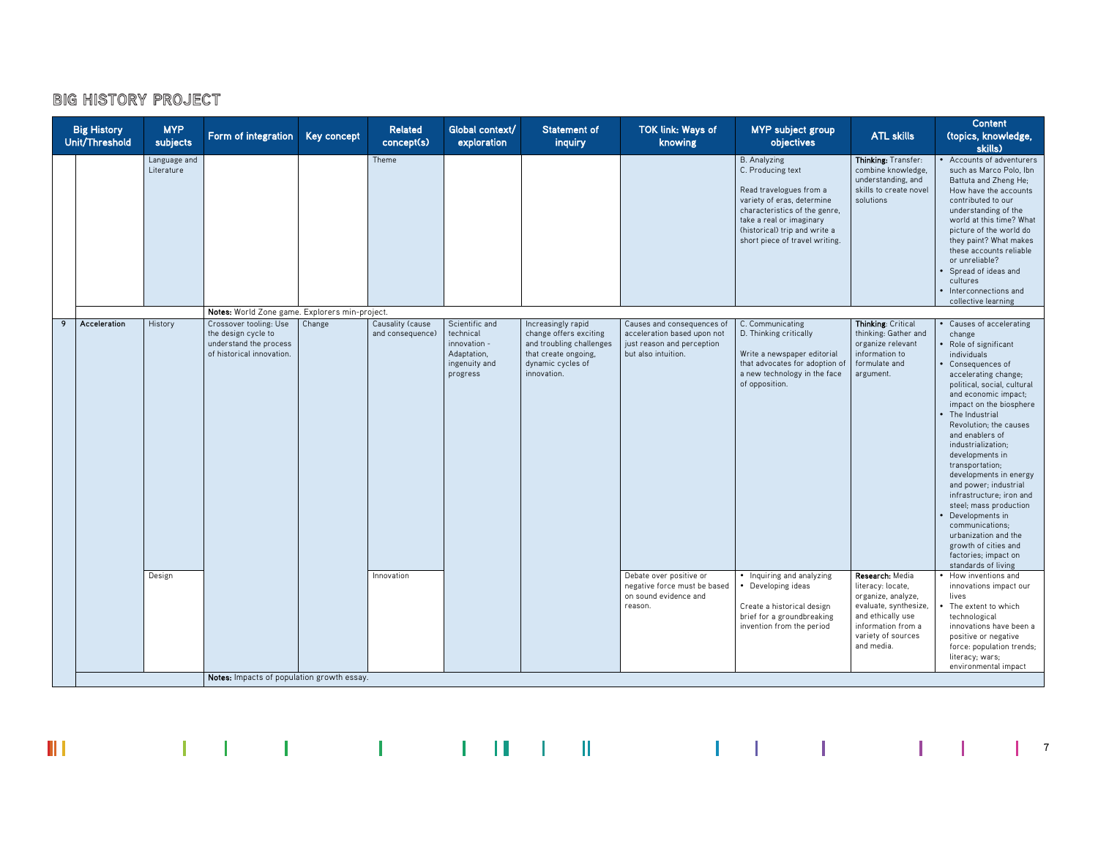$\mathbb H$ 

|   | <b>Big History</b><br>Unit/Threshold | <b>MYP</b><br>subjects     | Form of integration                                                                                  | Key concept | <b>Related</b><br>concept(s)         | Global context/<br>exploration                                                          | <b>Statement of</b><br>inquiry                                                                                                       | <b>TOK link: Ways of</b><br>knowing                                                                            | <b>MYP</b> subject group<br>objectives                                                                                                                                                                                            | <b>ATL skills</b>                                                                                                                                                  | <b>Content</b><br>(topics, knowledge,<br>skills)                                                                                                                                                                                                                                                                                                                                                                                                                                                                                                                             |
|---|--------------------------------------|----------------------------|------------------------------------------------------------------------------------------------------|-------------|--------------------------------------|-----------------------------------------------------------------------------------------|--------------------------------------------------------------------------------------------------------------------------------------|----------------------------------------------------------------------------------------------------------------|-----------------------------------------------------------------------------------------------------------------------------------------------------------------------------------------------------------------------------------|--------------------------------------------------------------------------------------------------------------------------------------------------------------------|------------------------------------------------------------------------------------------------------------------------------------------------------------------------------------------------------------------------------------------------------------------------------------------------------------------------------------------------------------------------------------------------------------------------------------------------------------------------------------------------------------------------------------------------------------------------------|
|   |                                      | Language and<br>Literature |                                                                                                      |             | Theme                                |                                                                                         |                                                                                                                                      |                                                                                                                | <b>B.</b> Analyzing<br>C. Producing text<br>Read travelogues from a<br>variety of eras, determine<br>characteristics of the genre,<br>take a real or imaginary<br>(historical) trip and write a<br>short piece of travel writing. | Thinking: Transfer:<br>combine knowledge,<br>understanding, and<br>skills to create novel<br>solutions                                                             | Accounts of adventurers<br>such as Marco Polo, Ibn<br>Battuta and Zheng He;<br>How have the accounts<br>contributed to our<br>understanding of the<br>world at this time? What<br>picture of the world do<br>they paint? What makes<br>these accounts reliable<br>or unreliable?<br>Spread of ideas and<br>cultures<br>Interconnections and<br>collective learning                                                                                                                                                                                                           |
|   |                                      |                            | Notes: World Zone game. Explorers min-project.                                                       |             |                                      |                                                                                         |                                                                                                                                      |                                                                                                                |                                                                                                                                                                                                                                   |                                                                                                                                                                    |                                                                                                                                                                                                                                                                                                                                                                                                                                                                                                                                                                              |
| 9 | Acceleration                         | History                    | Crossover tooling: Use<br>the design cycle to<br>understand the process<br>of historical innovation. | Change      | Causality (cause<br>and consequence) | Scientific and<br>technical<br>innovation -<br>Adaptation,<br>ingenuity and<br>progress | Increasingly rapid<br>change offers exciting<br>and troubling challenges<br>that create ongoing.<br>dynamic cycles of<br>innovation. | Causes and consequences of<br>acceleration based upon not<br>just reason and perception<br>but also intuition. | C. Communicating<br>D. Thinking critically<br>Write a newspaper editorial<br>that advocates for adoption of<br>a new technology in the face<br>of opposition.                                                                     | Thinking: Critical<br>thinking: Gather and<br>organize relevant<br>information to<br>formulate and<br>argument.                                                    | Causes of accelerating<br>change<br>Role of significant<br>individuals<br>Consequences of<br>accelerating change;<br>political, social, cultural<br>and economic impact;<br>impact on the biosphere<br>The Industrial<br>Revolution: the causes<br>and enablers of<br>industrialization;<br>developments in<br>transportation;<br>developments in energy<br>and power; industrial<br>infrastructure: iron and<br>steel; mass production<br>Developments in<br>communications:<br>urbanization and the<br>growth of cities and<br>factories; impact on<br>standards of living |
|   |                                      | Design                     |                                                                                                      |             | Innovation                           |                                                                                         |                                                                                                                                      | Debate over positive or<br>negative force must be based<br>on sound evidence and<br>reason.                    | • Inquiring and analyzing<br>Developing ideas<br>Create a historical design<br>brief for a groundbreaking<br>invention from the period                                                                                            | Research: Media<br>literacy: locate,<br>organize, analyze,<br>evaluate, synthesize,<br>and ethically use<br>information from a<br>variety of sources<br>and media. | • How inventions and<br>innovations impact our<br>lives<br>The extent to which<br>technological<br>innovations have been a<br>positive or negative<br>force: population trends;<br>literacy; wars;<br>environmental impact                                                                                                                                                                                                                                                                                                                                                   |
|   |                                      |                            | Notes: Impacts of population growth essay.                                                           |             |                                      |                                                                                         |                                                                                                                                      |                                                                                                                |                                                                                                                                                                                                                                   |                                                                                                                                                                    |                                                                                                                                                                                                                                                                                                                                                                                                                                                                                                                                                                              |

 $\mathcal{L}^{\mathcal{A}}(\mathcal{A})=\mathcal{L}^{\mathcal{A}}(\mathcal{A})=\mathcal{L}^{\mathcal{A}}(\mathcal{A})=\mathcal{L}^{\mathcal{A}}(\mathcal{A})=\mathcal{L}^{\mathcal{A}}(\mathcal{A})=\mathcal{L}^{\mathcal{A}}(\mathcal{A})=\mathcal{L}^{\mathcal{A}}(\mathcal{A})=\mathcal{L}^{\mathcal{A}}(\mathcal{A})=\mathcal{L}^{\mathcal{A}}(\mathcal{A})=\mathcal{L}^{\mathcal{A}}(\mathcal{A})=\mathcal{L}^{\mathcal{A}}(\mathcal{A})=\mathcal{L}^{\mathcal{$